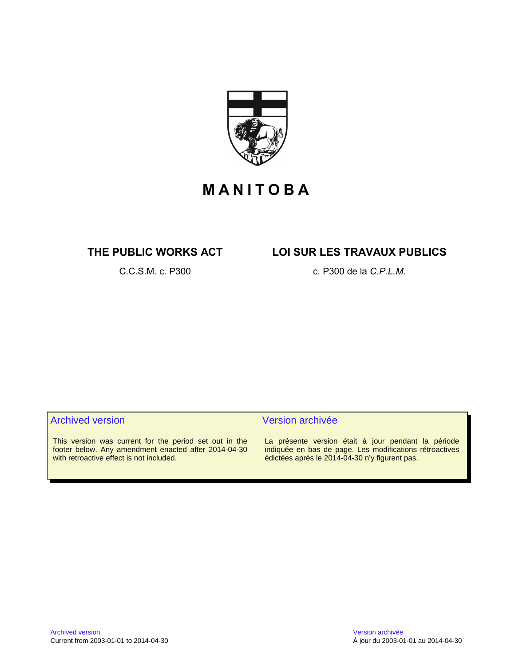

## **M A N I T O B A**

### **THE PUBLIC WORKS ACT LOI SUR LES TRAVAUX PUBLICS**

C.C.S.M. c. P300 c. P300 de la *C.P.L.M.*

#### Archived version and version archivée

This version was current for the period set out in the footer below. Any amendment enacted after 2014-04-30 with retroactive effect is not included.

La présente version était à jour pendant la période indiquée en bas de page. Les modifications rétroactives édictées après le 2014-04-30 n'y figurent pas.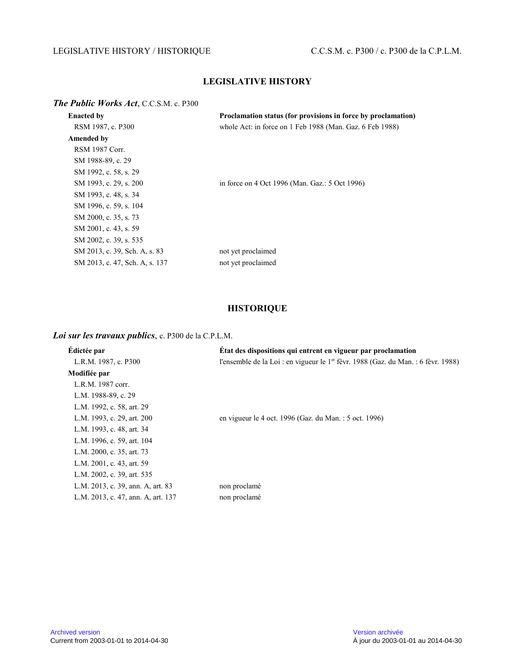### LEGISLATIVE HISTORY / HISTORIQUE C.C.S.M. c. P300 / c. P300 de la C.P.L.M.

### **LEGISLATIVE HISTORY**

#### *The Public Works Act*, C.C.S.M. c. P300

| <b>Enacted by</b>              | Proclamation status (for provisions in force by proclamation) |
|--------------------------------|---------------------------------------------------------------|
| RSM 1987, c. P300              | whole Act: in force on 1 Feb 1988 (Man. Gaz. 6 Feb 1988)      |
| Amended by                     |                                                               |
| RSM 1987 Corr.                 |                                                               |
| SM 1988-89, c. 29              |                                                               |
| SM 1992, c. 58, s. 29          |                                                               |
| SM 1993, c. 29, s. 200         | in force on 4 Oct 1996 (Man. Gaz.: 5 Oct 1996)                |
| SM 1993, c. 48, s. 34          |                                                               |
| SM 1996, c. 59, s. 104         |                                                               |
| SM 2000, c. 35, s. 73          |                                                               |
| SM 2001, c. 43, s. 59          |                                                               |
| SM 2002, c. 39, s. 535         |                                                               |
| SM 2013, c. 39, Sch. A, s. 83  | not yet proclaimed                                            |
| SM 2013, c. 47, Sch. A, s. 137 | not yet proclaimed                                            |

#### **HISTORIQUE**

#### *Loi sur les travaux publics*, c. P300 de la C.P.L.M.

| Édictée par                        | Etat des dispositions qui entrent en vigueur par proclamation                                 |
|------------------------------------|-----------------------------------------------------------------------------------------------|
| L.R.M. 1987, c. P300               | l'ensemble de la Loi : en vigueur le 1 <sup>er</sup> fèvr. 1988 (Gaz. du Man. : 6 fèvr. 1988) |
| Modifiée par                       |                                                                                               |
| L.R.M. 1987 corr.                  |                                                                                               |
| L.M. 1988-89, c. 29                |                                                                                               |
| L.M. 1992, c. 58, art. 29          |                                                                                               |
| L.M. 1993, c. 29, art. 200         | en vigueur le 4 oct. 1996 (Gaz. du Man. : 5 oct. 1996)                                        |
| L.M. 1993, c. 48, art. 34          |                                                                                               |
| L.M. 1996, c. 59, art. 104         |                                                                                               |
| L.M. 2000, c. 35, art. 73          |                                                                                               |
| L.M. 2001, c. 43, art. 59          |                                                                                               |
| L.M. 2002, c. 39, art. 535         |                                                                                               |
| L.M. 2013, c. 39, ann. A, art. 83  | non proclamé                                                                                  |
| L.M. 2013, c. 47, ann. A, art. 137 | non proclamé                                                                                  |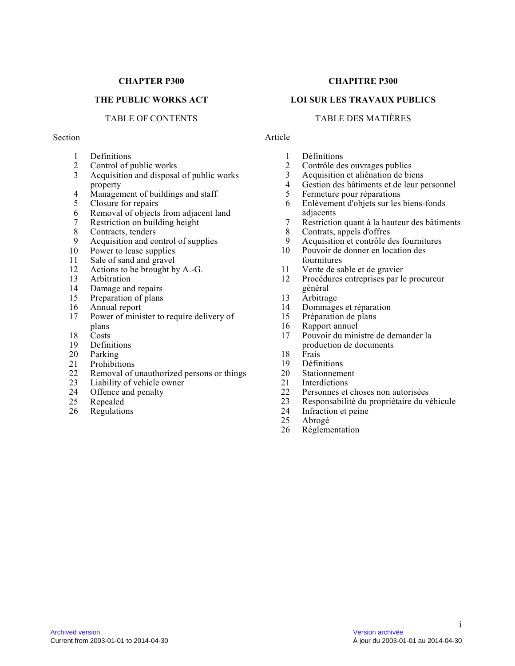#### **CHAPTER P300**

#### **THE PUBLIC WORKS ACT**

#### TABLE OF CONTENTS

#### Section

- 1 Definitions<br>2 Control of r
- 2 Control of public works<br>3 Acquisition and disposal
- Acquisition and disposal of public works property
- 4 Management of buildings and staff<br>5 Closure for repairs
- Closure for repairs
- 6 Removal of objects from adjacent land<br>7 Restriction on building height
- 7 Restriction on building height<br>8 Contracts, tenders
- 8 Contracts, tenders<br>9 Acquisition and co
- 9 Acquisition and control of supplies<br>10 Power to lease supplies
- Power to lease supplies
- 11 Sale of sand and gravel<br>12 Actions to be brought b
- 12 Actions to be brought by A.-G.<br>13 Arbitration
- **Arbitration**
- 14 Damage and repairs<br>15 Preparation of plans
- 15 Preparation of plans<br>16 Annual report
- Annual report
- 17 Power of minister to require delivery of plans
- 18 Costs
- 19 Definitions
- 20 Parking
- 
- 21 Prohibitions<br>22 Removal of u Removal of unauthorized persons or things
- 23 Liability of vehicle owner<br>24 Offence and penalty
- 24 Offence and penalty<br>25 Repealed
- 25 Repealed<br>26 Regulatio
- **Regulations**

#### **CHAPITRE P300**

#### **LOI SUR LES TRAVAUX PUBLICS**

#### TABLE DES MATIÈRES

#### Article

- 1 Définitions<br>2 Contrôle de
- 2 Contrôle des ouvrages publics<br>3 Acquisition et aliénation de bie
- 3 Acquisition et aliénation de biens<br>4 Gestion des bâtiments et de leur pe
- 4 Gestion des bâtiments et de leur personnel<br>5 Fermeture pour réparations
- 5 Fermeture pour réparations<br>6 Enlèvement d'obiets sur les
- 6 Enlèvement d'objets sur les biens-fonds adjacents
- 7 Restriction quant à la hauteur des bâtiments<br>8 Contrats, appels d'offres
- 8 Contrats, appels d'offres
- 9 Acquisition et contrôle des fournitures<br>10 Pouvoir de donner en location des
- Pouvoir de donner en location des fournitures
- 11 Vente de sable et de gravier<br>12 Procédures entreprises par le
- 12 Procédures entreprises par le procureur général
- 13 Arbitrage
- 14 Dommages et réparation
- 15 Préparation de plans
- 16 Rapport annuel
- 17 Pouvoir du ministre de demander la production de documents
- 18 Frais<br>19 Défin
- 19 Définitions<br>20 Stationneme
- **Stationnement**
- 21 Interdictions<br>22 Personnes et
- 22 Personnes et choses non autorisées<br>23 Responsabilité du propriétaire du ve
- 23 Responsabilité du propriétaire du véhicule<br>24 Infraction et peine
- 24 Infraction et peine<br>25 Abrogé
- 25 Abrogé<br>26 Régleme
- Réglementation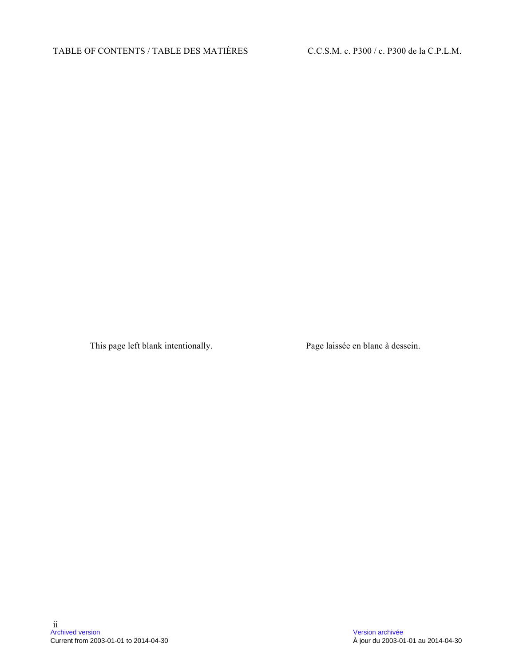This page left blank intentionally. Page laissée en blanc à dessein.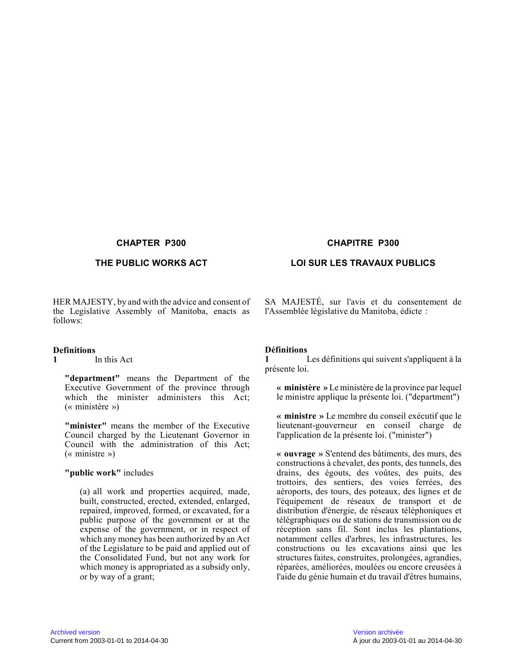#### **CHAPTER P300 CHAPITRE P300**

HER MAJESTY, by and with the advice and consent of the Legislative Assembly of Manitoba, enacts as follows:

### **Definitions**

**1** In this Act

**"department"** means the Department of the Executive Government of the province through which the minister administers this Act; (« ministère »)

**"minister"** means the member of the Executive Council charged by the Lieutenant Governor in Council with the administration of this Act; (« ministre »)

#### **"public work"** includes

(a) all work and properties acquired, made, built, constructed, erected, extended, enlarged, repaired, improved, formed, or excavated, for a public purpose of the government or at the expense of the government, or in respect of which any money has been authorized by an Act of the Legislature to be paid and applied out of the Consolidated Fund, but not any work for which money is appropriated as a subsidy only, or by way of a grant;

#### THE PUBLIC WORKS ACT LOI SUR LES TRAVAUX PUBLICS

SA MAJESTÉ, sur l'avis et du consentement de l'Assemblée législative du Manitoba, édicte :

### **Définitions**

**1** Les définitions qui suivent s'appliquent à la présente loi.

**« ministère »** Le ministère de la province par lequel le ministre applique la présente loi. ("department" )

**« ministre »** Le membre du conseil exécutif que le lieutenant-gouverneur en conseil charge de l'application de la présente loi. ("minister")

**« ouvrage »** S'entend des bâtiments, des murs, des constructions à chevalet, des ponts, des tunnels, de s drains, des égouts, des voûtes, des puits, des trottoirs, des sentiers, des voies ferrées, des aéroports, des tours, des poteaux, des lignes et de l'équipement de réseaux de transport et de distribution d'énergie, de réseaux téléphoniques et télégraphiques ou de stations de transmission ou de réception sans fil. Sont inclus les plantations, notamment celles d'arbres, les infrastructures, les constructions ou les excavations ainsi que les structures faites, construites, prolongées, agrandies, réparées, améliorées, moulées ou encore creusées à l'aide du génie humain et du travail d'êtres humains ,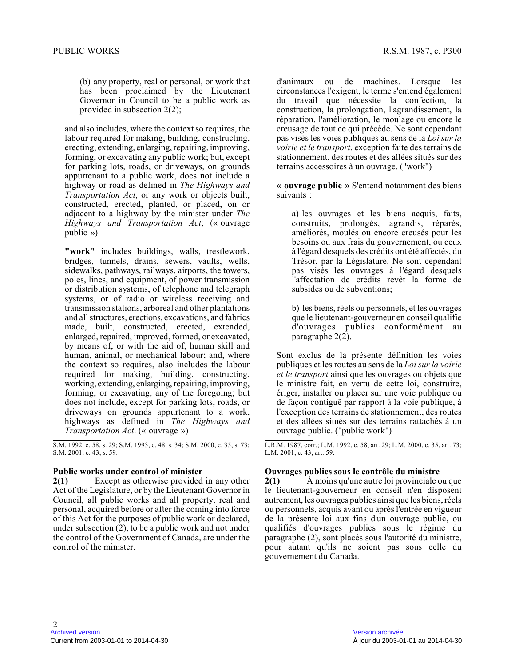(b) any property, real or personal, or work that has been proclaimed by the Lieutenant Governor in Council to be a public work as provided in subsection 2(2);

and also includes, where the context so requires, the labour required for making, building, constructing, erecting, extending, enlarging, repairing, improving, forming, or excavating any public work; but, except for parking lots, roads, or driveways, on grounds appurtenant to a public work, does not include a highway or road as defined in *The Highways and Transportation Act*, or any work or objects built, constructed, erected, planted, or placed, on or adjacent to a highway by the minister under *The Highways and Transportation Act*; (« ouvrage public »)

**"work"** includes buildings, walls, trestlework, bridges, tunnels, drains, sewers, vaults, wells, sidewalks, pathways, railways, airports, the towers , poles, lines, and equipment, of power transmission or distribution systems, of telephone and telegraph systems, or of radio or wireless receiving and transmission stations, arboreal and other plantations and all structures, erections, excavations, and fabrics made, built, constructed, erected, extended, enlarged, repaired, improved, formed, or excavated, by means of, or with the aid of, human skill and human, animal, or mechanical labour; and, where the context so requires, also includes the labour required for making, building, constructing, working, extending, enlarging, repairing, improving, forming, or excavating, any of the foregoing; but does not include, except for parking lots, roads, or driveways on grounds appurtenant to a work, highways as defined in *The Highways and Transportation Act*. (« ouvrage »)

S.M. 1992, c. 58, s. 29; S.M. 1993, c. 48, s. 34; S.M. 2000, c. 35, s. 73; S.M. 2001, c. 43, s. 59.

#### **Public works under control of minister**

**2(1)** Except as otherwise provided in any other Act of the Legislature, or by the Lieutenant Governor in Council, all public works and all property, real an d personal, acquired before or after the coming into force of this Act for the purposes of public work or declared, under subsection (2), to be a public work and not under the control of the Government of Canada, are under the control of the minister.

d'animaux ou de machines. Lorsque les circonstances l'exigent, le terme s'entend égalemen t du travail que nécessite la confection, la construction, la prolongation, l'agrandissement, la réparation, l'amélioration, le moulage ou encore le creusage de tout ce qui précède. Ne sont cependant pas visés les voies publiques au sens de la *Loi sur la voirie et le transport*, exception faite des terrains de stationnement, des routes et des allées situés sur des terrains accessoires à un ouvrage. ("work")

**« ouvrage public »** S'entend notamment des biens suivants :

a) les ouvrages et les biens acquis, faits, construits, prolongés, agrandis, réparés, améliorés, moulés ou encore creusés pour les besoins ou aux frais du gouvernement, ou ceux à l'égard desquels des crédits ont été affectés, du Trésor, par la Législature. Ne sont cependant pas visés les ouvrages à l'égard desquels l'affectation de crédits revêt la forme de subsides ou de subventions;

b) les biens, réels ou personnels, et les ouvrages que le lieutenant-gouverneur en conseil qualifie d'ouvrages publics conformément au paragraphe 2(2).

Sont exclus de la présente définition les voies publiques et les routes au sens de la *Loi sur la voirie et le transport* ainsi que les ouvrages ou objets que le ministre fait, en vertu de cette loi, construire , ériger, installer ou placer sur une voie publique ou de façon contiguë par rapport à la voie publique, à l'exception des terrains de stationnement, des routes et des allées situés sur des terrains rattachés à u n ouvrage public. ("public work")

L.R.M. 1987, corr.; L.M. 1992, c. 58, art. 29; L.M. 2000, c. 35, art. 73; L.M. 2001, c. 43, art. 59.

#### **Ouvrages publics sous le contrôle du ministre**

**2(1)** À moins qu'une autre loi provinciale ou que le lieutenant-gouverneur en conseil n'en disposent autrement, les ouvrages publics ainsi que les biens, réels ou personnels, acquis avant ou après l'entrée en vigueur de la présente loi aux fins d'un ouvrage public, ou qualifiés d'ouvrages publics sous le régime du paragraphe (2), sont placés sous l'autorité du ministre, pour autant qu'ils ne soient pas sous celle du gouvernement du Canada.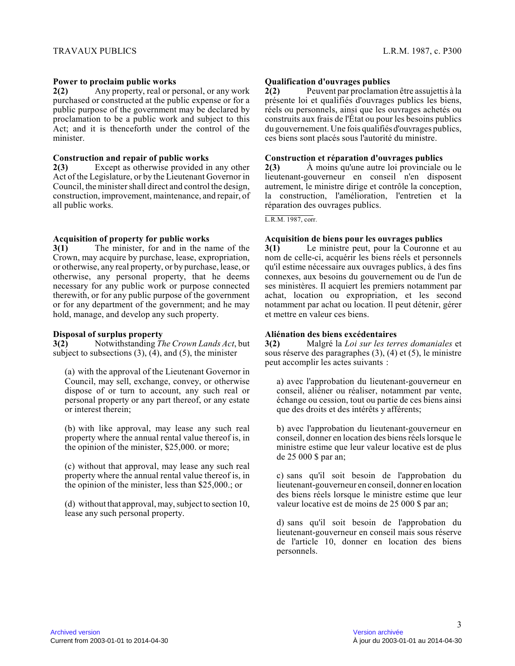#### **Power to proclaim public works**

**2(2)** Any property, real or personal, or any work purchased or constructed at the public expense or for a public purpose of the government may be declared by proclamation to be a public work and subject to thi s Act; and it is thenceforth under the control of the minister.

#### **Construction and repair of public works**

**2(3)** Except as otherwise provided in any other Act of the Legislature, or by the Lieutenant Governor in Council, the minister shall direct and control the design, construction, improvement, maintenance, and repair, of all public works.

#### **Acquisition of property for public works**

**3(1)** The minister, for and in the name of the Crown, may acquire by purchase, lease, expropriation, or otherwise, any real property, or by purchase, lease, or otherwise, any personal property, that he deems necessary for any public work or purpose connected therewith, or for any public purpose of the government or for any department of the government; and he may hold, manage, and develop any such property.

#### **Disposal of surplus property**

**3(2)** Notwithstanding *The Crown Lands Act*, but subject to subsections  $(3)$ ,  $(4)$ , and  $(5)$ , the minister

(a) with the approval of the Lieutenant Governor in Council, may sell, exchange, convey, or otherwise dispose of or turn to account, any such real or personal property or any part thereof, or any estat e or interest therein;

(b) with like approval, may lease any such real property where the annual rental value thereof is, i n the opinion of the minister, \$25,000. or more;

(c) without that approval, may lease any such real property where the annual rental value thereof is, i n the opinion of the minister, less than \$25,000.; or

(d) without that approval, may, subject to section 10, lease any such personal property.

#### **Qualification d'ouvrages publics**

**2(2)** Peuvent par proclamation être assujettis à la présente loi et qualifiés d'ouvrages publics les biens, réels ou personnels, ainsi que les ouvrages achetés ou construits aux frais de l'État ou pour les besoins publics du gouvernement. Une fois qualifiés d'ouvrages publics, ces biens sont placés sous l'autorité du ministre.

#### **Construction et réparation d'ouvrages publics**

**2(3)** À moins qu'une autre loi provinciale ou le lieutenant-gouverneur en conseil n'en disposent autrement, le ministre dirige et contrôle la conception, la construction, l'amélioration, l'entretien et la réparation des ouvrages publics.

L.R.M. 1987, corr.

#### **Acquisition de biens pour les ouvrages publics**

**3(1)** Le ministre peut, pour la Couronne et au nom de celle-ci, acquérir les biens réels et personnels qu'il estime nécessaire aux ouvrages publics, à des fins connexes, aux besoins du gouvernement ou de l'un de ses ministères. Il acquiert les premiers notamment par achat, location ou expropriation, et les second notamment par achat ou location. Il peut détenir, gérer et mettre en valeur ces biens.

#### **Aliénation des biens excédentaires**

**3(2)** Malgré la *Loi sur les terres domaniales* et sous réserve des paragraphes (3), (4) et (5), le ministre peut accomplir les actes suivants :

a) avec l'approbation du lieutenant-gouverneur en conseil, aliéner ou réaliser, notamment par vente, échange ou cession, tout ou partie de ces biens ainsi que des droits et des intérêts y afférents;

b) avec l'approbation du lieutenant-gouverneur en conseil, donner en location des biens réels lorsque le ministre estime que leur valeur locative est de plus de 25 000 \$ par an;

c) sans qu'il soit besoin de l'approbation du lieutenant-gouverneur en conseil, donner en location des biens réels lorsque le ministre estime que leur valeur locative est de moins de 25 000 \$ par an;

d) sans qu'il soit besoin de l'approbation du lieutenant-gouverneur en conseil mais sous réserve de l'article 10, donner en location des biens personnels.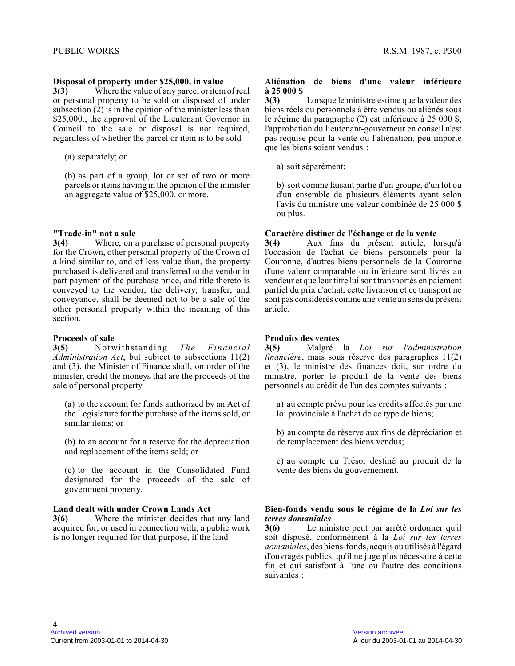#### **Disposal of property under \$25,000. in value**

**3(3)** Where the value of any parcel or item of real or personal property to be sold or disposed of unde r subsection (2) is in the opinion of the minister less than \$25,000., the approval of the Lieutenant Governor in Council to the sale or disposal is not required, regardless of whether the parcel or item is to be sold

(a) separately; or

(b) as part of a group, lot or set of two or more parcels or items having in the opinion of the minister an aggregate value of \$25,000. or more.

#### **"Trade-in" not a sale**

**3(4)** Where, on a purchase of personal property for the Crown, other personal property of the Crown of a kind similar to, and of less value than, the property purchased is delivered and transferred to the vendor in part payment of the purchase price, and title thereto is conveyed to the vendor, the delivery, transfer, and conveyance, shall be deemed not to be a sale of the other personal property within the meaning of this section.

#### **Proceeds of sale**

**3(5)** Notwithstanding *The Financial Administration Act*, but subject to subsections 11(2) and (3), the Minister of Finance shall, on order of the minister, credit the moneys that are the proceeds of the sale of personal property

(a) to the account for funds authorized by an Act of the Legislature for the purchase of the items sold, or similar items; or

(b) to an account for a reserve for the depreciation and replacement of the items sold; or

(c) to the account in the Consolidated Fund designated for the proceeds of the sale of government property.

#### **Land dealt with under Crown Lands Act**

**3(6)** Where the minister decides that any land acquired for, or used in connection with, a public work is no longer required for that purpose, if the land

#### **Aliénation de biens d'une valeur inférieure à 25 000 \$**

**3(3)** Lorsque le ministre estime que la valeur des biens réels ou personnels à être vendus ou aliénés sous le régime du paragraphe (2) est inférieure à 25 000 \$, l'approbation du lieutenant-gouverneur en conseil n'est pas requise pour la vente ou l'aliénation, peu importe que les biens soient vendus :

a) soit séparément;

b) soit comme faisant partie d'un groupe, d'un lot o u d'un ensemble de plusieurs éléments ayant selon l'avis du ministre une valeur combinée de 25 000 \$ ou plus.

#### **Caractère distinct de l'échange et de la vente**

**3(4)** Aux fins du présent article, lorsqu'à l'occasion de l'achat de biens personnels pour la Couronne, d'autres biens personnels de la Couronne d'une valeur comparable ou inférieure sont livrés au vendeur et que leur titre lui sont transportés en paiement partiel du prix d'achat, cette livraison et ce transport ne sont pas considérés comme une vente au sens du présent article.

#### **Produits des ventes**

**3(5)** Malgré la *Loi sur l'administration financière*, mais sous réserve des paragraphes 11(2) et (3), le ministre des finances doit, sur ordre du ministre, porter le produit de la vente des biens personnels au crédit de l'un des comptes suivants :

a) au compte prévu pour les crédits affectés par une loi provinciale à l'achat de ce type de biens;

b) au compte de réserve aux fins de dépréciation et de remplacement des biens vendus;

c) au compte du Trésor destiné au produit de la vente des biens du gouvernement.

#### **Bien-fonds vendu sous le régime de la** *Loi sur les terres domaniales*

**3(6)** Le ministre peut par arrêté ordonner qu'il soit disposé, conformément à la *Loi sur les terres domaniales*, des biens-fonds, acquis ou utilisés à l'égard d'ouvrages publics, qu'il ne juge plus nécessaire à cette fin et qui satisfont à l'une ou l'autre des conditions suivantes :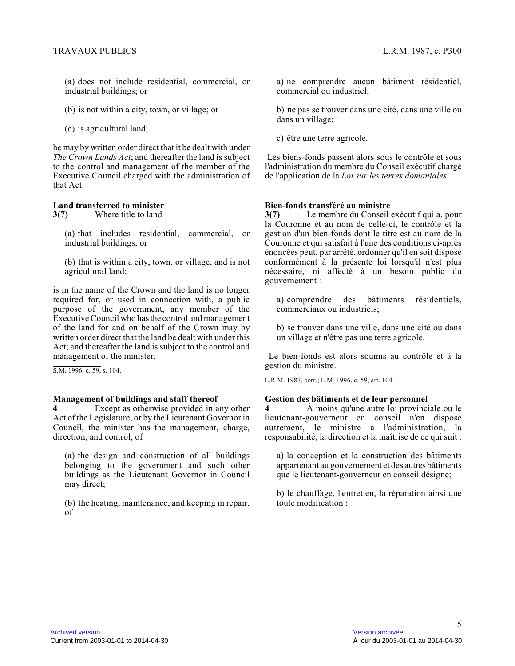(a) does not include residential, commercial, or industrial buildings; or

(b) is not within a city, town, or village; or

(c) is agricultural land;

he may by written order direct that it be dealt with under *The Crown Lands Act*; and thereafter the land is subject to the control and management of the member of the Executive Council charged with the administration of that Act.

#### **Land transferred to minister**

**3(7)** Where title to land

(a) that includes residential, commercial, or industrial buildings; or

(b) that is within a city, town, or village, and is no t agricultural land;

is in the name of the Crown and the land is no longer required for, or used in connection with, a public purpose of the government, any member of the Executive Council who has the control and management of the land for and on behalf of the Crown may by written order direct that the land be dealt with under this Act; and thereafter the land is subject to the control and management of the minister.

S.M. 1996, c. 59, s. 104.

#### **Management of buildings and staff thereof**

**4** Except as otherwise provided in any other Act of the Legislature, or by the Lieutenant Governor in Council, the minister has the management, charge, direction, and control, of

(a) the design and construction of all buildings belonging to the government and such other buildings as the Lieutenant Governor in Council may direct;

(b) the heating, maintenance, and keeping in repair, of

a) ne comprendre aucun bâtiment résidentiel, commercial ou industriel;

b) ne pas se trouver dans une cité, dans une ville ou dans un village;

c) être une terre agricole.

 Les biens-fonds passent alors sous le contrôle et sous l'administration du membre du Conseil exécutif chargé de l'application de la *Loi sur les terres domaniales* .

#### **Bien-fonds transféré au ministre**

**3(7)** Le membre du Conseil exécutif qui a, pour la Couronne et au nom de celle-ci, le contrôle et l a gestion d'un bien-fonds dont le titre est au nom de la Couronne et qui satisfait à l'une des conditions ci-après énoncées peut, par arrêté, ordonner qu'il en soit disposé conformément à la présente loi lorsqu'il n'est plus nécessaire, ni affecté à un besoin public du gouvernement :

a) comprendre des bâtiments résidentiels, commerciaux ou industriels;

b) se trouver dans une ville, dans une cité ou dans un village et n'être pas une terre agricole.

 Le bien-fonds est alors soumis au contrôle et à la gestion du ministre.

L.R.M. 1987, corr.; L.M. 1996, c. 59, art. 104.

#### **Gestion des bâtiments et de leur personnel**

**4** À moins qu'une autre loi provinciale ou le lieutenant-gouverneur en conseil n'en dispose autrement, le ministre a l'administration, la responsabilité, la direction et la maîtrise de ce qui suit :

a) la conception et la construction des bâtiments appartenant au gouvernement et des autres bâtiments que le lieutenant-gouverneur en conseil désigne;

b) le chauffage, l'entretien, la réparation ainsi que toute modification :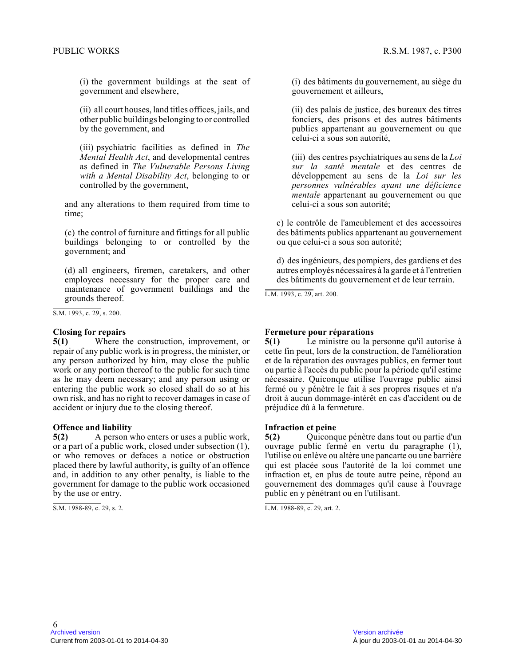(i) the government buildings at the seat of government and elsewhere,

(ii) all court houses, land titles offices, jails, and other public buildings belonging to or controlled by the government, and

(iii) psychiatric facilities as defined in *The Mental Health Act*, and developmental centres as defined in *The Vulnerable Persons Living with a Mental Disability Act*, belonging to or controlled by the government,

and any alterations to them required from time to time;

(c) the control of furniture and fittings for all public buildings belonging to or controlled by the government; and

(d) all engineers, firemen, caretakers, and other employees necessary for the proper care and maintenance of government buildings and the grounds thereof.

S.M. 1993, c. 29, s. 200.

#### **Closing for repairs**

**5(1)** Where the construction, improvement, or repair of any public work is in progress, the minister, or any person authorized by him, may close the public work or any portion thereof to the public for such time as he may deem necessary; and any person using or entering the public work so closed shall do so at his own risk, and has no right to recover damages in case of accident or injury due to the closing thereof.

#### **Offence and liability**

**5(2)** A person who enters or uses a public work, or a part of a public work, closed under subsection (1), or who removes or defaces a notice or obstruction placed there by lawful authority, is guilty of an offence and, in addition to any other penalty, is liable to the government for damage to the public work occasioned by the use or entry.

S.M. 1988-89, c. 29, s. 2.

(i) des bâtiments du gouvernement, au siège du gouvernement et ailleurs,

(ii) des palais de justice, des bureaux des titres fonciers, des prisons et des autres bâtiments publics appartenant au gouvernement ou que celui-ci a sous son autorité,

(iii) des centres psychiatriques au sens de la *Loi sur la santé mentale* et des centres de développement au sens de la *Loi sur les personnes vulnérables ayant une déficience mentale* appartenant au gouvernement ou que celui-ci a sous son autorité;

c) le contrôle de l'ameublement et des accessoires des bâtiments publics appartenant au gouvernement ou que celui-ci a sous son autorité;

d) des ingénieurs, des pompiers, des gardiens et des autres employés nécessaires à la garde et à l'entretien des bâtiments du gouvernement et de leur terrain.

L.M. 1993, c. 29, art. 200.

#### **Fermeture pour réparations**

**5(1)** Le ministre ou la personne qu'il autorise à cette fin peut, lors de la construction, de l'amélioration et de la réparation des ouvrages publics, en fermer tout ou partie à l'accès du public pour la période qu'il estime nécessaire. Quiconque utilise l'ouvrage public ainsi fermé ou y pénètre le fait à ses propres risques et n'a droit à aucun dommage-intérêt en cas d'accident ou de préjudice dû à la fermeture.

#### **Infraction et peine**

**5(2)** Quiconque pénètre dans tout ou partie d'un ouvrage public fermé en vertu du paragraphe (1), l'utilise ou enlève ou altère une pancarte ou une barrière qui est placée sous l'autorité de la loi commet une infraction et, en plus de toute autre peine, répond au gouvernement des dommages qu'il cause à l'ouvrage public en y pénétrant ou en l'utilisant.

L.M. 1988-89, c. 29, art. 2.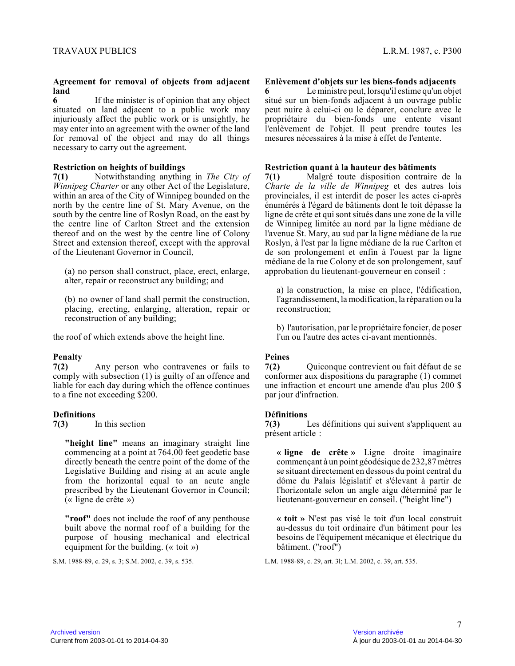#### **Agreement for removal of objects from adjacent land**

**6** If the minister is of opinion that any object situated on land adjacent to a public work may injuriously affect the public work or is unsightly, he may enter into an agreement with the owner of the land for removal of the object and may do all things necessary to carry out the agreement.

#### **Restriction on heights of buildings**

**7(1)** Notwithstanding anything in *The City of Winnipeg Charter* or any other Act of the Legislature, within an area of the City of Winnipeg bounded on the north by the centre line of St. Mary Avenue, on the south by the centre line of Roslyn Road, on the east by the centre line of Carlton Street and the extension thereof and on the west by the centre line of Colon y Street and extension thereof, except with the approval of the Lieutenant Governor in Council,

(a) no person shall construct, place, erect, enlarge , alter, repair or reconstruct any building; and

(b) no owner of land shall permit the construction, placing, erecting, enlarging, alteration, repair or reconstruction of any building;

the roof of which extends above the height line.

#### **Penalty**

**7(2)** Any person who contravenes or fails to comply with subsection (1) is guilty of an offence and liable for each day during which the offence continues to a fine not exceeding \$200.

#### **Definitions**

**7(3)** In this section

**"height line"** means an imaginary straight line commencing at a point at 764.00 feet geodetic base directly beneath the centre point of the dome of the Legislative Building and rising at an acute angle from the horizontal equal to an acute angle prescribed by the Lieutenant Governor in Council; (« ligne de crête »)

**"roof"** does not include the roof of any penthouse built above the normal roof of a building for the purpose of housing mechanical and electrical equipment for the building. (« toit »)

#### **Enlèvement d'objets sur les biens-fonds adjacents**

**6** Le ministre peut, lorsqu'il estime qu'un objet situé sur un bien-fonds adjacent à un ouvrage public peut nuire à celui-ci ou le déparer, conclure avec l e propriétaire du bien-fonds une entente visant l'enlèvement de l'objet. Il peut prendre toutes les mesures nécessaires à la mise à effet de l'entente.

#### **Restriction quant à la hauteur des bâtiments**

**7(1)** Malgré toute disposition contraire de la *Charte de la ville de Winnipeg* et des autres lois provinciales, il est interdit de poser les actes ci-après énumérés à l'égard de bâtiments dont le toit dépasse la ligne de crête et qui sont situés dans une zone de la ville de Winnipeg limitée au nord par la ligne médiane de l'avenue St. Mary, au sud par la ligne médiane de la rue Roslyn, à l'est par la ligne médiane de la rue Carlton et de son prolongement et enfin à l'ouest par la ligne médiane de la rue Colony et de son prolongement, sauf approbation du lieutenant-gouverneur en conseil :

a) la construction, la mise en place, l'édification, l'agrandissement, la modification, la réparation ou la reconstruction;

b) l'autorisation, par le propriétaire foncier, de poser l'un ou l'autre des actes ci-avant mentionnés.

#### **Peines**

**7(2)** Quiconque contrevient ou fait défaut de se conformer aux dispositions du paragraphe (1) commet une infraction et encourt une amende d'au plus 200 \$ par jour d'infraction.

#### **Définitions**

**7(3)** Les définitions qui suivent s'appliquent au présent article :

**« ligne de crête »** Ligne droite imaginaire commençant à un point géodésique de 232,87 mètres se situant directement en dessous du point central du dôme du Palais législatif et s'élevant à partir de l'horizontale selon un angle aigu déterminé par le lieutenant-gouverneur en conseil. ("height line")

**« toit »** N'est pas visé le toit d'un local construit au-dessus du toit ordinaire d'un bâtiment pour les besoins de l'équipement mécanique et électrique du bâtiment. ("roof")

L.M. 1988-89, c. 29, art. 3l; L.M. 2002, c. 39, art. 535.

S.M. 1988-89, c. 29, s. 3; S.M. 2002, c. 39, s. 535.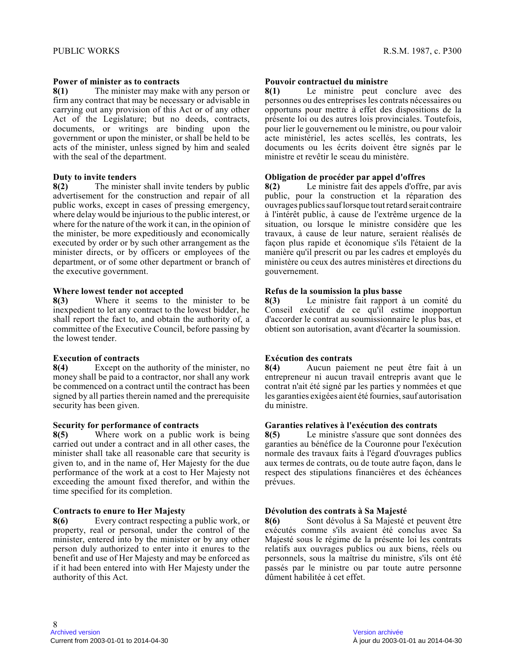#### **Power of minister as to contracts**

**8(1)** The minister may make with any person or firm any contract that may be necessary or advisable in carrying out any provision of this Act or of any other Act of the Legislature; but no deeds, contracts, documents, or writings are binding upon the government or upon the minister, or shall be held to be acts of the minister, unless signed by him and sealed with the seal of the department.

#### **Duty to invite tenders**

**8(2)** The minister shall invite tenders by public advertisement for the construction and repair of all public works, except in cases of pressing emergency , where delay would be injurious to the public interest, or where for the nature of the work it can, in the opinion of the minister, be more expeditiously and economicall y executed by order or by such other arrangement as th e minister directs, or by officers or employees of th e department, or of some other department or branch o f the executive government.

#### **Where lowest tender not accepted**

**8(3)** Where it seems to the minister to be inexpedient to let any contract to the lowest bidder, he shall report the fact to, and obtain the authority of, a committee of the Executive Council, before passing b y the lowest tender.

#### **Execution of contracts**

**8(4)** Except on the authority of the minister, no money shall be paid to a contractor, nor shall any work be commenced on a contract until the contract has been signed by all parties therein named and the prerequisite security has been given.

#### **Security for performance of contracts**

**8(5)** Where work on a public work is being carried out under a contract and in all other cases, the minister shall take all reasonable care that security is given to, and in the name of, Her Majesty for the due performance of the work at a cost to Her Majesty no t exceeding the amount fixed therefor, and within the time specified for its completion.

#### **Contracts to enure to Her Majesty**

**8(6)** Every contract respecting a public work, or property, real or personal, under the control of th e minister, entered into by the minister or by any other person duly authorized to enter into it enures to the benefit and use of Her Majesty and may be enforced as if it had been entered into with Her Majesty under the authority of this Act.

#### **Pouvoir contractuel du ministre**

**8(1)** Le ministre peut conclure avec des personnes ou des entreprises les contrats nécessaires ou opportuns pour mettre à effet des dispositions de l a présente loi ou des autres lois provinciales. Toutefois, pour lier le gouvernement ou le ministre, ou pour valoir acte ministériel, les actes scellés, les contrats, les documents ou les écrits doivent être signés par le ministre et revêtir le sceau du ministère.

#### **Obligation de procéder par appel d'offres**

**8(2)** Le ministre fait des appels d'offre, par avis public, pour la construction et la réparation des ouvrages publics sauf lorsque tout retard serait contraire à l'intérêt public, à cause de l'extrême urgence de la situation, ou lorsque le ministre considère que les travaux, à cause de leur nature, seraient réalisés d e façon plus rapide et économique s'ils l'étaient de la manière qu'il prescrit ou par les cadres et employés du ministère ou ceux des autres ministères et directions du gouvernement.

#### **Refus de la soumission la plus basse**

**8(3)** Le ministre fait rapport à un comité du Conseil exécutif de ce qu'il estime inopportun d'accorder le contrat au soumissionnaire le plus bas, e t obtient son autorisation, avant d'écarter la soumission.

#### **Exécution des contrats**

**8(4)** Aucun paiement ne peut être fait à un entrepreneur ni aucun travail entrepris avant que le contrat n'ait été signé par les parties y nommées et que les garanties exigées aient été fournies, sauf autorisation du ministre.

#### **Garanties relatives à l'exécution des contrats**

**8(5)** Le ministre s'assure que sont données des garanties au bénéfice de la Couronne pour l'exécution normale des travaux faits à l'égard d'ouvrages public s aux termes de contrats, ou de toute autre façon, dans le respect des stipulations financières et des échéances prévues.

#### **Dévolution des contrats à Sa Majesté**

**8(6)** Sont dévolus à Sa Majesté et peuvent être exécutés comme s'ils avaient été conclus avec Sa Majesté sous le régime de la présente loi les contrats relatifs aux ouvrages publics ou aux biens, réels ou personnels, sous la maîtrise du ministre, s'ils ont été passés par le ministre ou par toute autre personne dûment habilitée à cet effet.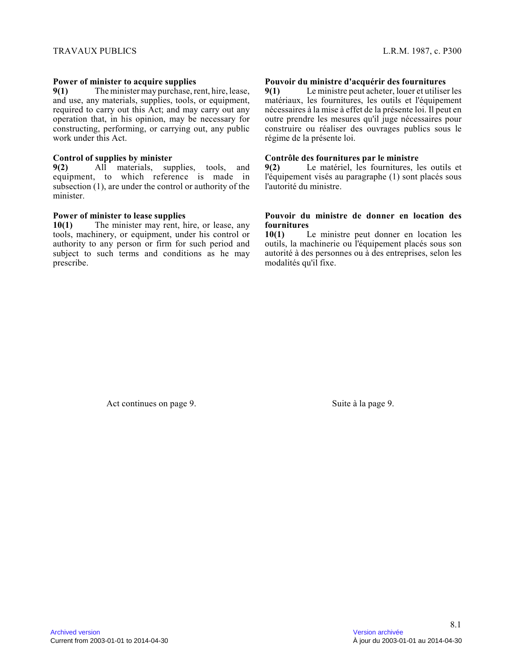#### **Power of minister to acquire supplies**

**9(1)** The minister may purchase, rent, hire, lease, and use, any materials, supplies, tools, or equipment, required to carry out this Act; and may carry out any operation that, in his opinion, may be necessary fo r constructing, performing, or carrying out, any public work under this Act.

#### **Control of supplies by minister**

**9(2)** All materials, supplies, tools, and equipment, to which reference is made in subsection (1), are under the control or authority of the minister.

### **Power of minister to lease supplies<br>10(1)** The minister may rent, h

The minister may rent, hire, or lease, any tools, machinery, or equipment, under his control o r authority to any person or firm for such period and subject to such terms and conditions as he may prescribe.

#### **Pouvoir du ministre d'acquérir des fournitures**

**9(1)** Le ministre peut acheter, louer et utiliser les matériaux, les fournitures, les outils et l'équipement nécessaires à la mise à effet de la présente loi. Il peut en outre prendre les mesures qu'il juge nécessaires pour construire ou réaliser des ouvrages publics sous le régime de la présente loi.

#### **Contrôle des fournitures par le ministre**

**9(2)** Le matériel, les fournitures, les outils et l'équipement visés au paragraphe (1) sont placés sou s l'autorité du ministre.

### **Pouvoir du ministre de donner en location des fournitures**

Le ministre peut donner en location les outils, la machinerie ou l'équipement placés sous son autorité à des personnes ou à des entreprises, selon le s modalités qu'il fixe.

Act continues on page 9. Suite à la page 9.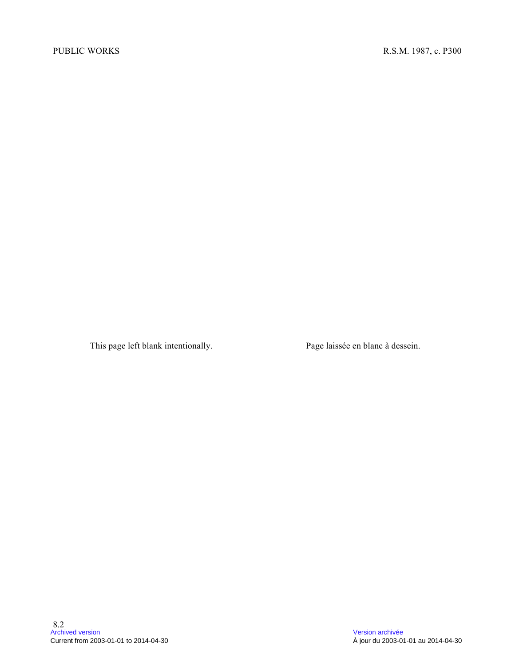This page left blank intentionally. Page laissée en blanc à dessein.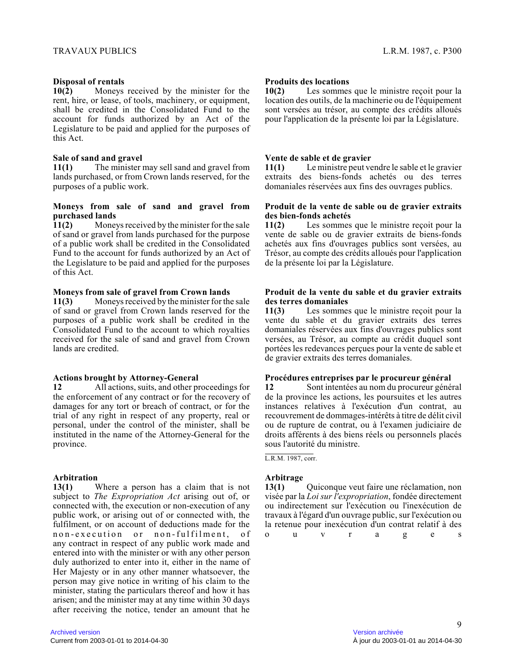#### **Disposal of rentals**

**10(2)** Moneys received by the minister for the rent, hire, or lease, of tools, machinery, or equipment, shall be credited in the Consolidated Fund to the account for funds authorized by an Act of the Legislature to be paid and applied for the purposes of this Act.

#### **Sale of sand and gravel**

**11(1)** The minister may sell sand and gravel from lands purchased, or from Crown lands reserved, for the purposes of a public work.

#### **Moneys from sale of sand and gravel from purchased lands**

**11(2)** Moneys received by the minister for the sale of sand or gravel from lands purchased for the purpose of a public work shall be credited in the Consolidated Fund to the account for funds authorized by an Act o f the Legislature to be paid and applied for the purposes of this Act.

#### **Moneys from sale of gravel from Crown lands**

**11(3)** Moneys received by the minister for the sale of sand or gravel from Crown lands reserved for the purposes of a public work shall be credited in the Consolidated Fund to the account to which royalties received for the sale of sand and gravel from Crown lands are credited.

#### **Actions brought by Attorney-General**

**12** All actions, suits, and other proceedings for the enforcement of any contract or for the recovery of damages for any tort or breach of contract, or for the trial of any right in respect of any property, real or personal, under the control of the minister, shall be instituted in the name of the Attorney-General for the province.

#### **Arbitration**

**13(1)** Where a person has a claim that is not subject to *The Expropriation Act* arising out of, or connected with, the execution or non-execution of any public work, or arising out of or connected with, the fulfilment, or on account of deductions made for the non-execution or non-fulfilment, of any contract in respect of any public work made and entered into with the minister or with any other person duly authorized to enter into it, either in the name of Her Majesty or in any other manner whatsoever, the person may give notice in writing of his claim to th e minister, stating the particulars thereof and how it has arisen; and the minister may at any time within 30 days after receiving the notice, tender an amount that he

#### **Produits des locations**

**10(2)** Les sommes que le ministre reçoit pour la location des outils, de la machinerie ou de l'équipement sont versées au trésor, au compte des crédits alloué s pour l'application de la présente loi par la Législature.

#### **Vente de sable et de gravier**

**11(1)** Le ministre peut vendre le sable et le gravier extraits des biens-fonds achetés ou des terres domaniales réservées aux fins des ouvrages publics.

#### **Produit de la vente de sable ou de gravier extraits des bien-fonds achetés**

**11(2)** Les sommes que le ministre reçoit pour la vente de sable ou de gravier extraits de biens-fonds achetés aux fins d'ouvrages publics sont versées, au Trésor, au compte des crédits alloués pour l'application de la présente loi par la Législature.

#### **Produit de la vente du sable et du gravier extraits des terres domaniales**

**11(3)** Les sommes que le ministre reçoit pour la vente du sable et du gravier extraits des terres domaniales réservées aux fins d'ouvrages publics sont versées, au Trésor, au compte au crédit duquel sont portées les redevances perçues pour la vente de sable et de gravier extraits des terres domaniales.

# **Procédures entreprises par le procureur général**

**12** Sont intentées au nom du procureur général de la province les actions, les poursuites et les autres instances relatives à l'exécution d'un contrat, au recouvrement de dommages-intérêts à titre de délit civil ou de rupture de contrat, ou à l'examen judiciaire de droits afférents à des biens réels ou personnels placés sous l'autorité du ministre.

L.R.M. 1987, corr.

#### **Arbitrage**

**13(1)** Quiconque veut faire une réclamation, non visée par la *Loi sur l'expropriation*, fondée directement ou indirectement sur l'exécution ou l'inexécution d e travaux à l'égard d'un ouvrage public, sur l'exécution ou la retenue pour inexécution d'un contrat relatif à des

ou v r a g e s<br>9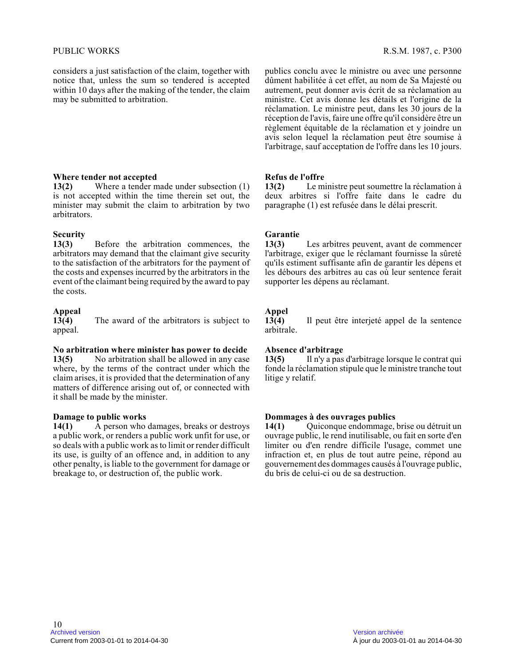considers a just satisfaction of the claim, together with notice that, unless the sum so tendered is accepted within 10 days after the making of the tender, the claim may be submitted to arbitration.

#### **Where tender not accepted**

**13(2)** Where a tender made under subsection (1) is not accepted within the time therein set out, th e minister may submit the claim to arbitration by two arbitrators.

# **Security**

**13(3)** Before the arbitration commences, the arbitrators may demand that the claimant give security to the satisfaction of the arbitrators for the payment of the costs and expenses incurred by the arbitrators in the event of the claimant being required by the award to pay the costs.

# **Appeal**

The award of the arbitrators is subject to appeal.

#### **No arbitration where minister has power to decide**

**13(5)** No arbitration shall be allowed in any case where, by the terms of the contract under which the claim arises, it is provided that the determination of any matters of difference arising out of, or connected with it shall be made by the minister.

## **Damage to public works**<br>**14(1)** A person who

**14(1)** A person who damages, breaks or destroys a public work, or renders a public work unfit for use, or so deals with a public work as to limit or render difficult its use, is guilty of an offence and, in addition to any other penalty, is liable to the government for damage or breakage to, or destruction of, the public work.

publics conclu avec le ministre ou avec une personne dûment habilitée à cet effet, au nom de Sa Majesté ou autrement, peut donner avis écrit de sa réclamation au ministre. Cet avis donne les détails et l'origine de la réclamation. Le ministre peut, dans les 30 jours de la réception de l'avis, faire une offre qu'il considère être un règlement équitable de la réclamation et y joindre un avis selon lequel la réclamation peut être soumise à l'arbitrage, sauf acceptation de l'offre dans les 10 jours.

#### **Refus de l'offre**

**13(2)** Le ministre peut soumettre la réclamation à deux arbitres si l'offre faite dans le cadre du paragraphe (1) est refusée dans le délai prescrit.

# **Garantie**

Les arbitres peuvent, avant de commencer l'arbitrage, exiger que le réclamant fournisse la sûreté qu'ils estiment suffisante afin de garantir les dépens et les débours des arbitres au cas où leur sentence ferait supporter les dépens au réclamant.

# **Appel**

**13(4)** Il peut être interjeté appel de la sentence arbitrale.

#### **Absence d'arbitrage**

**13(5)** Il n'y a pas d'arbitrage lorsque le contrat qui fonde la réclamation stipule que le ministre tranche tout litige y relatif.

## **Dommages à des ouvrages publics<br>14(1)** Ouiconque endommage,

**14(1)** Quiconque endommage, brise ou détruit un ouvrage public, le rend inutilisable, ou fait en sorte d'en limiter ou d'en rendre difficile l'usage, commet un e infraction et, en plus de tout autre peine, répond au gouvernement des dommages causés à l'ouvrage public, du bris de celui-ci ou de sa destruction.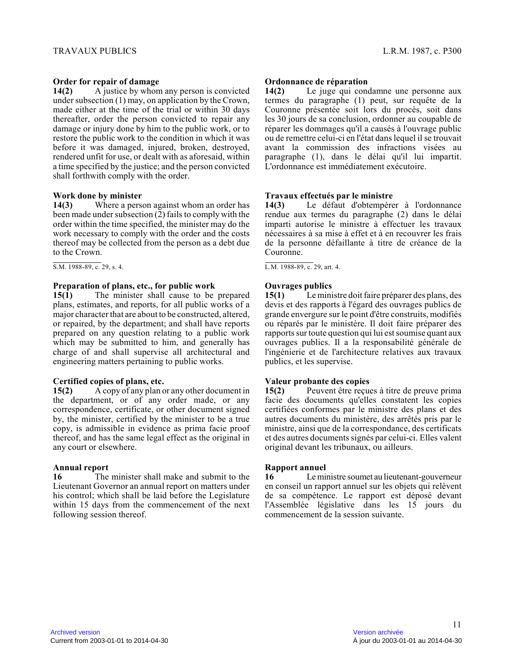#### **Order for repair of damage**

**14(2)** A justice by whom any person is convicted under subsection (1) may, on application by the Crown, made either at the time of the trial or within 30 days thereafter, order the person convicted to repair any damage or injury done by him to the public work, or to restore the public work to the condition in which it was before it was damaged, injured, broken, destroyed, rendered unfit for use, or dealt with as aforesaid, within a time specified by the justice; and the person convicted shall forthwith comply with the order.

#### **Work done by minister**

**14(3)** Where a person against whom an order has been made under subsection (2) fails to comply with the order within the time specified, the minister may do the work necessary to comply with the order and the costs thereof may be collected from the person as a debt due to the Crown.

 $S.M. 1988-89, c. 29, s. 4.$ 

#### **Preparation of plans, etc., for public work**

**15(1)** The minister shall cause to be prepared plans, estimates, and reports, for all public works of a major character that are about to be constructed, altered, or repaired, by the department; and shall have reports prepared on any question relating to a public work which may be submitted to him, and generally has charge of and shall supervise all architectural and engineering matters pertaining to public works.

#### **Certified copies of plans, etc.**

**15(2)** A copy of any plan or any other document in the department, or of any order made, or any correspondence, certificate, or other document signed by, the minister, certified by the minister to be a true copy, is admissible in evidence as prima facie proof thereof, and has the same legal effect as the original in any court or elsewhere.

#### **Annual report**

**16** The minister shall make and submit to the Lieutenant Governor an annual report on matters unde r his control; which shall be laid before the Legislature within 15 days from the commencement of the next following session thereof.

#### **Ordonnance de réparation**

**14(2)** Le juge qui condamne une personne aux termes du paragraphe (1) peut, sur requête de la Couronne présentée soit lors du procès, soit dans les 30 jours de sa conclusion, ordonner au coupable de réparer les dommages qu'il a causés à l'ouvrage public ou de remettre celui-ci en l'état dans lequel il se trouvait avant la commission des infractions visées au paragraphe (1), dans le délai qu'il lui impartit. L'ordonnance est immédiatement exécutoire.

#### **Travaux effectués par le ministre**

**14(3)** Le défaut d'obtempérer à l'ordonnance rendue aux termes du paragraphe (2) dans le délai imparti autorise le ministre à effectuer les travaux nécessaires à sa mise à effet et à en recouvrer les frais de la personne défaillante à titre de créance de la Couronne.

L.M. 1988-89, c. 29, art. 4.

#### **Ouvrages publics**

**15(1)** Le ministre doit faire préparer des plans, des devis et des rapports à l'égard des ouvrages publics de grande envergure sur le point d'être construits, modifiés ou réparés par le ministère. Il doit faire préparer des rapports sur toute question qui lui est soumise quant aux ouvrages publics. Il a la responsabilité générale de l'ingénierie et de l'architecture relatives aux travaux publics, et les supervise.

#### **Valeur probante des copies**

**15(2)** Peuvent être reçues à titre de preuve prima facie des documents qu'elles constatent les copies certifiées conformes par le ministre des plans et des autres documents du ministère, des arrêtés pris par le ministre, ainsi que de la correspondance, des certificats et des autres documents signés par celui-ci. Elles valent original devant les tribunaux, ou ailleurs.

#### **Rapport annuel**

**16** Le ministre soumet au lieutenant-gouverneur en conseil un rapport annuel sur les objets qui relèvent de sa compétence. Le rapport est déposé devant l'Assemblée législative dans les 15 jours du commencement de la session suivante.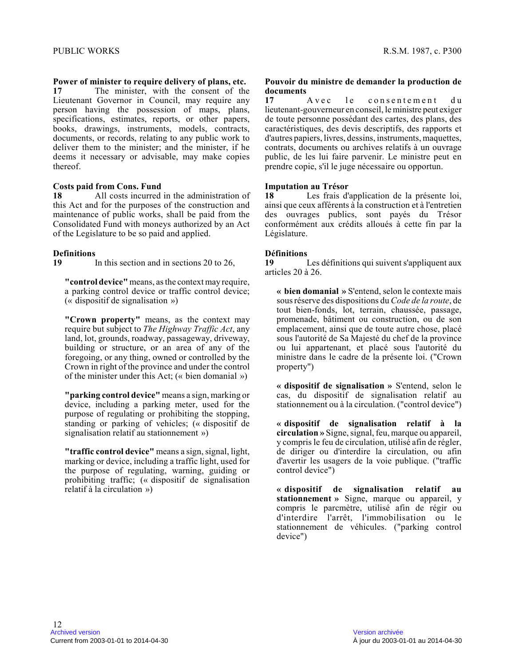### **Power of minister to require delivery of plans, etc .**

**17** The minister, with the consent of the Lieutenant Governor in Council, may require any person having the possession of maps, plans, specifications, estimates, reports, or other papers , books, drawings, instruments, models, contracts, documents, or records, relating to any public work to deliver them to the minister; and the minister, if he deems it necessary or advisable, may make copies thereof.

#### **Costs paid from Cons. Fund**

**18** All costs incurred in the administration of this Act and for the purposes of the construction and maintenance of public works, shall be paid from the Consolidated Fund with moneys authorized by an Act of the Legislature to be so paid and applied.

### **Definitions**

**19** In this section and in sections 20 to 26,

**"control device"** means, as the context may require, a parking control device or traffic control device; (« dispositif de signalisation »)

**"Crown property"** means, as the context may require but subject to *The Highway Traffic Act*, any land, lot, grounds, roadway, passageway, driveway, building or structure, or an area of any of the foregoing, or any thing, owned or controlled by the Crown in right of the province and under the control of the minister under this Act; (« bien domanial »)

**"parking control device"** means a sign, marking or device, including a parking meter, used for the purpose of regulating or prohibiting the stopping, standing or parking of vehicles; (« dispositif de signalisation relatif au stationnement »)

**"traffic control device"** means a sign, signal, light, marking or device, including a traffic light, used for the purpose of regulating, warning, guiding or prohibiting traffic; (« dispositif de signalisation relatif à la circulation »)

### **Pouvoir du ministre de demander la production de documents**<br>17 A y e c

17 A vec le consentement du lieutenant-gouverneur en conseil, le ministre peut exiger de toute personne possédant des cartes, des plans, des caractéristiques, des devis descriptifs, des rapports et d'autres papiers, livres, dessins, instruments, maquettes, contrats, documents ou archives relatifs à un ouvrage public, de les lui faire parvenir. Le ministre peut en prendre copie, s'il le juge nécessaire ou opportun.

#### **Imputation au Trésor**

**18** Les frais d'application de la présente loi, ainsi que ceux afférents à la construction et à l'entretien des ouvrages publics, sont payés du Trésor conformément aux crédits alloués à cette fin par la Législature.

### **Définitions**

Les définitions qui suivent s'appliquent aux articles 20 à 26.

**« bien domanial »** S'entend, selon le contexte mais sous réserve des dispositions du *Code de la route*, de tout bien-fonds, lot, terrain, chaussée, passage, promenade, bâtiment ou construction, ou de son emplacement, ainsi que de toute autre chose, placé sous l'autorité de Sa Majesté du chef de la province ou lui appartenant, et placé sous l'autorité du ministre dans le cadre de la présente loi. ("Crown property")

**« dispositif de signalisation »** S'entend, selon le cas, du dispositif de signalisation relatif au stationnement ou à la circulation. ("control device" )

**« dispositif de signalisation relatif à la circulation »** Signe, signal, feu, marque ou appareil, y compris le feu de circulation, utilisé afin de régler, de diriger ou d'interdire la circulation, ou afin d'avertir les usagers de la voie publique. ("traffic control device")

**« dispositif de signalisation relatif au stationnement »** Signe, marque ou appareil, y compris le parcmètre, utilisé afin de régir ou d'interdire l'arrêt, l'immobilisation ou le stationnement de véhicules. ("parking control device")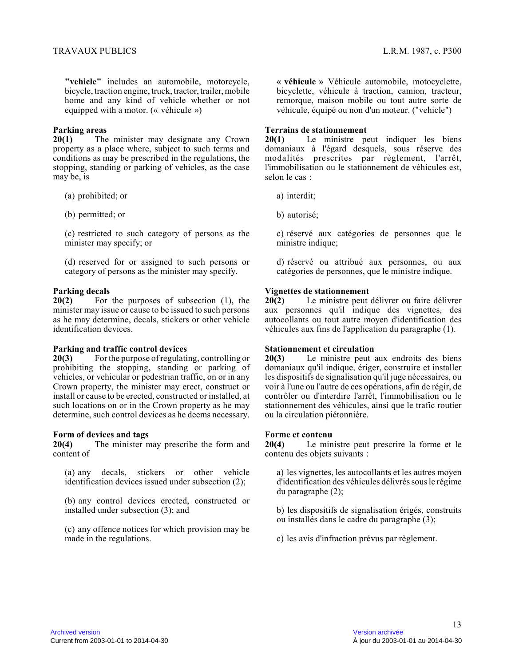**"vehicle"** includes an automobile, motorcycle, bicycle, traction engine, truck, tractor, trailer, mobile home and any kind of vehicle whether or not equipped with a motor. (« véhicule »)

#### **Parking areas**

**20(1)** The minister may designate any Crown property as a place where, subject to such terms an d conditions as may be prescribed in the regulations, the stopping, standing or parking of vehicles, as the case may be, is

- (a) prohibited; or
- (b) permitted; or

(c) restricted to such category of persons as the minister may specify; or

(d) reserved for or assigned to such persons or category of persons as the minister may specify.

#### **Parking decals**

**20(2)** For the purposes of subsection (1), the minister may issue or cause to be issued to such persons as he may determine, decals, stickers or other vehicle identification devices.

#### **Parking and traffic control devices**

**20(3)** For the purpose of regulating, controlling or prohibiting the stopping, standing or parking of vehicles, or vehicular or pedestrian traffic, on or in any Crown property, the minister may erect, construct o r install or cause to be erected, constructed or installed, at such locations on or in the Crown property as he may determine, such control devices as he deems necessary.

### **Form of devices and tags**<br>**20(4)** The minister n

**20(4)** The minister may prescribe the form and content of

(a) any decals, stickers or other vehicle identification devices issued under subsection (2);

(b) any control devices erected, constructed or installed under subsection (3); and

(c) any offence notices for which provision may be made in the regulations.

**« véhicule »** Véhicule automobile, motocyclette, bicyclette, véhicule à traction, camion, tracteur, remorque, maison mobile ou tout autre sorte de véhicule, équipé ou non d'un moteur. ("vehicle")

#### **Terrains de stationnement**

**20(1)** Le ministre peut indiquer les biens domaniaux à l'égard desquels, sous réserve des modalités prescrites par règlement, l'arrêt, l'immobilisation ou le stationnement de véhicules est, selon le cas :

a) interdit;

b) autorisé;

c) réservé aux catégories de personnes que le ministre indique;

d) réservé ou attribué aux personnes, ou aux catégories de personnes, que le ministre indique.

### **Vignettes de stationnement**<br>**20(2)** Le ministre peut of

**20(2)** Le ministre peut délivrer ou faire délivrer aux personnes qu'il indique des vignettes, des autocollants ou tout autre moyen d'identification des véhicules aux fins de l'application du paragraphe (1).

#### **Stationnement et circulation**

**20(3)** Le ministre peut aux endroits des biens domaniaux qu'il indique, ériger, construire et installer les dispositifs de signalisation qu'il juge nécessaires, ou voir à l'une ou l'autre de ces opérations, afin de régir, de contrôler ou d'interdire l'arrêt, l'immobilisation ou le stationnement des véhicules, ainsi que le trafic routier ou la circulation piétonnière.

#### **Forme et contenu**

**20(4)** Le ministre peut prescrire la forme et le contenu des objets suivants :

a) les vignettes, les autocollants et les autres moye n d'identification des véhicules délivrés sous le régim e du paragraphe (2);

b) les dispositifs de signalisation érigés, construits ou installés dans le cadre du paragraphe (3);

c) les avis d'infraction prévus par règlement.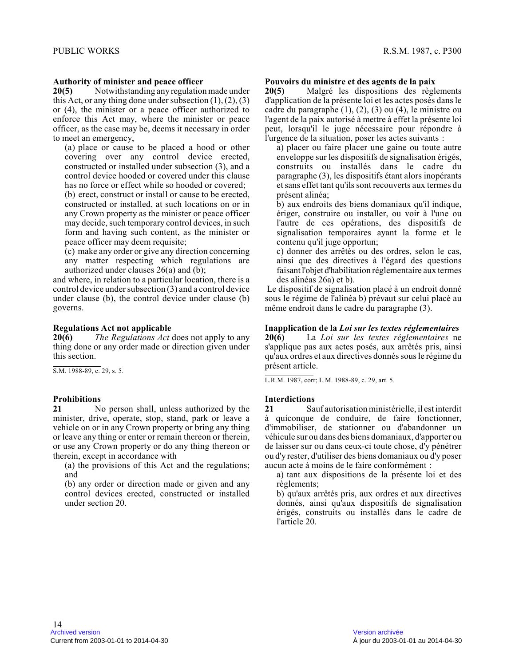#### **Authority of minister and peace officer**

**20(5)** Notwithstanding any regulation made under this Act, or any thing done under subsection  $(1)$ ,  $(2)$ ,  $(3)$ or (4), the minister or a peace officer authorized to enforce this Act may, where the minister or peace officer, as the case may be, deems it necessary in order to meet an emergency,

(a) place or cause to be placed a hood or other covering over any control device erected, constructed or installed under subsection (3), and a control device hooded or covered under this clause has no force or effect while so hooded or covered;

(b) erect, construct or install or cause to be erected, constructed or installed, at such locations on or i n any Crown property as the minister or peace officer may decide, such temporary control devices, in such form and having such content, as the minister or peace officer may deem requisite;

(c) make any order or give any direction concerning any matter respecting which regulations are authorized under clauses 26(a) and (b);

and where, in relation to a particular location, there is a control device under subsection (3) and a control device under clause (b), the control device under clause (b ) governs.

## **Regulations Act not applicable**<br>**20(6)** The Regulations Act of

*The Regulations Act* does not apply to any thing done or any order made or direction given under this section.

S.M. 1988-89, c. 29, s. 5.

#### **Prohibitions**

**21** No person shall, unless authorized by the minister, drive, operate, stop, stand, park or leave a vehicle on or in any Crown property or bring any thing or leave any thing or enter or remain thereon or therein, or use any Crown property or do any thing thereon o r therein, except in accordance with

(a) the provisions of this Act and the regulations; and

(b) any order or direction made or given and any control devices erected, constructed or installed under section 20.

#### **Pouvoirs du ministre et des agents de la paix**

**20(5)** Malgré les dispositions des règlements d'application de la présente loi et les actes posés dans le cadre du paragraphe (1), (2), (3) ou (4), le ministre ou l'agent de la paix autorisé à mettre à effet la présente loi peut, lorsqu'il le juge nécessaire pour répondre à l'urgence de la situation, poser les actes suivants :

a) placer ou faire placer une gaine ou toute autre enveloppe sur les dispositifs de signalisation érigés, construits ou installés dans le cadre du paragraphe (3), les dispositifs étant alors inopérants et sans effet tant qu'ils sont recouverts aux termes du présent alinéa;

b) aux endroits des biens domaniaux qu'il indique, ériger, construire ou installer, ou voir à l'une ou l'autre de ces opérations, des dispositifs de signalisation temporaires ayant la forme et le contenu qu'il juge opportun;

c) donner des arrêtés ou des ordres, selon le cas, ainsi que des directives à l'égard des questions faisant l'objet d'habilitation réglementaire aux termes des alinéas 26a) et b).

 Le dispositif de signalisation placé à un endroit donné sous le régime de l'alinéa b) prévaut sur celui placé au même endroit dans le cadre du paragraphe (3).

#### **Inapplication de la** *Loi sur les textes réglementaires*

**20(6)** La *Loi sur les textes réglementaires* ne s'applique pas aux actes posés, aux arrêtés pris, ainsi qu'aux ordres et aux directives donnés sous le régime du présent article.

L.R.M. 1987, corr; L.M. 1988-89, c. 29, art. 5.

#### **Interdictions**

**21** Sauf autorisation ministérielle, il est interdit à quiconque de conduire, de faire fonctionner, d'immobiliser, de stationner ou d'abandonner un véhicule sur ou dans des biens domaniaux, d'apporter ou de laisser sur ou dans ceux-ci toute chose, d'y pénétrer ou d'y rester, d'utiliser des biens domaniaux ou d'y poser aucun acte à moins de le faire conformément :

a) tant aux dispositions de la présente loi et des règlements;

b) qu'aux arrêtés pris, aux ordres et aux directives donnés, ainsi qu'aux dispositifs de signalisation érigés, construits ou installés dans le cadre de l'article 20.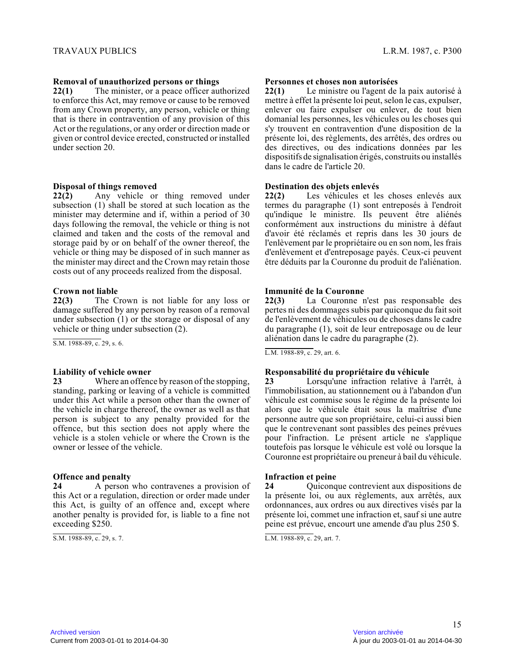#### **Removal of unauthorized persons or things**

**22(1)** The minister, or a peace officer authorized to enforce this Act, may remove or cause to be remove d from any Crown property, any person, vehicle or thing that is there in contravention of any provision of this Act or the regulations, or any order or direction made or given or control device erected, constructed or installed under section 20.

#### **Disposal of things removed**

**22(2)** Any vehicle or thing removed under subsection (1) shall be stored at such location as the minister may determine and if, within a period of 3 0 days following the removal, the vehicle or thing is not claimed and taken and the costs of the removal and storage paid by or on behalf of the owner thereof, the vehicle or thing may be disposed of in such manner as the minister may direct and the Crown may retain those costs out of any proceeds realized from the disposal.

### **Crown not liable**<br>22(3) The C

The Crown is not liable for any loss or damage suffered by any person by reason of a removal under subsection (1) or the storage or disposal of any vehicle or thing under subsection (2).

S.M. 1988-89, c. 29, s. 6.

#### **Liability of vehicle owner**

**23** Where an offence by reason of the stopping, standing, parking or leaving of a vehicle is committe d under this Act while a person other than the owner of the vehicle in charge thereof, the owner as well as that person is subject to any penalty provided for the offence, but this section does not apply where the vehicle is a stolen vehicle or where the Crown is th e owner or lessee of the vehicle.

#### **Offence and penalty**

**24** A person who contravenes a provision of this Act or a regulation, direction or order made unde r this Act, is guilty of an offence and, except where another penalty is provided for, is liable to a fine not exceeding \$250.

S.M. 1988-89, c. 29, s. 7.

#### **Personnes et choses non autorisées**

**22(1)** Le ministre ou l'agent de la paix autorisé à mettre à effet la présente loi peut, selon le cas, expulser, enlever ou faire expulser ou enlever, de tout bien domanial les personnes, les véhicules ou les choses qui s'y trouvent en contravention d'une disposition de l a présente loi, des règlements, des arrêtés, des ordres ou des directives, ou des indications données par les dispositifs de signalisation érigés, construits ou installés dans le cadre de l'article 20.

#### **Destination des objets enlevés**

**22(2)** Les véhicules et les choses enlevés aux termes du paragraphe (1) sont entreposés à l'endroi t qu'indique le ministre. Ils peuvent être aliénés conformément aux instructions du ministre à défaut d'avoir été réclamés et repris dans les 30 jours de l'enlèvement par le propriétaire ou en son nom, les frais d'enlèvement et d'entreposage payés. Ceux-ci peuvent être déduits par la Couronne du produit de l'aliénation.

#### **Immunité de la Couronne**

**22(3)** La Couronne n'est pas responsable des pertes ni des dommages subis par quiconque du fait soit de l'enlèvement de véhicules ou de choses dans le cadre du paragraphe (1), soit de leur entreposage ou de leur aliénation dans le cadre du paragraphe (2).

L.M. 1988-89, c. 29, art. 6.

#### **Responsabilité du propriétaire du véhicule**

**23** Lorsqu'une infraction relative à l'arrêt, à l'immobilisation, au stationnement ou à l'abandon d'un véhicule est commise sous le régime de la présente loi alors que le véhicule était sous la maîtrise d'une personne autre que son propriétaire, celui-ci aussi bien que le contrevenant sont passibles des peines prévue s pour l'infraction. Le présent article ne s'applique toutefois pas lorsque le véhicule est volé ou lorsque la Couronne est propriétaire ou preneur à bail du véhicule.

#### **Infraction et peine**

**24** Quiconque contrevient aux dispositions de la présente loi, ou aux règlements, aux arrêtés, aux ordonnances, aux ordres ou aux directives visés par l a présente loi, commet une infraction et, sauf si une autre peine est prévue, encourt une amende d'au plus 250 \$ .

L.M. 1988-89, c. 29, art. 7.